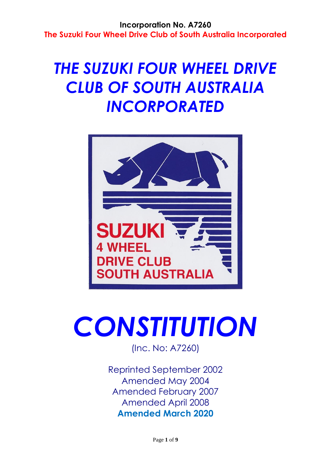# *THE SUZUKI FOUR WHEEL DRIVE CLUB OF SOUTH AUSTRALIA INCORPORATED*



# *CONSTITUTION*

(Inc. No: A7260)

Reprinted September 2002 Amended May 2004 Amended February 2007 Amended April 2008 **Amended March 2020**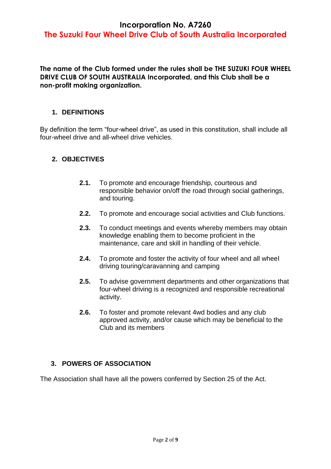# **The Suzuki Four Wheel Drive Club of South Australia Incorporated**

**The name of the Club formed under the rules shall be THE SUZUKI FOUR WHEEL DRIVE CLUB OF SOUTH AUSTRALIA Incorporated, and this Club shall be a non-profit making organization.**

#### **1. DEFINITIONS**

By definition the term "four-wheel drive", as used in this constitution, shall include all four-wheel drive and all-wheel drive vehicles.

#### **2. OBJECTIVES**

- **2.1.** To promote and encourage friendship, courteous and responsible behavior on/off the road through social gatherings, and touring.
- **2.2.** To promote and encourage social activities and Club functions.
- **2.3.** To conduct meetings and events whereby members may obtain knowledge enabling them to become proficient in the maintenance, care and skill in handling of their vehicle.
- **2.4.** To promote and foster the activity of four wheel and all wheel driving touring/caravanning and camping
- **2.5.** To advise government departments and other organizations that four-wheel driving is a recognized and responsible recreational activity.
- **2.6.** To foster and promote relevant 4wd bodies and any club approved activity, and/or cause which may be beneficial to the Club and its members

#### **3. POWERS OF ASSOCIATION**

The Association shall have all the powers conferred by Section 25 of the Act.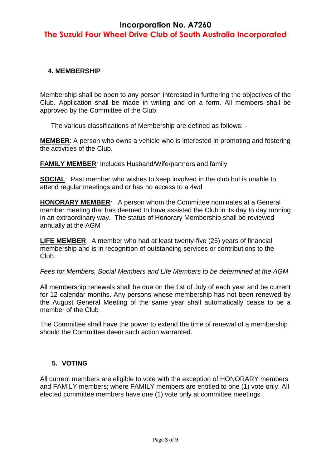# **The Suzuki Four Wheel Drive Club of South Australia Incorporated**

#### **4. MEMBERSHIP**

Membership shall be open to any person interested in furthering the objectives of the Club. Application shall be made in writing and on a form. All members shall be approved by the Committee of the Club.

The various classifications of Membership are defined as follows: -

**MEMBER**: A person who owns a vehicle who is interested in promoting and fostering the activities of the Club.

**FAMILY MEMBER***:* Includes Husband/Wife/partners and family

**SOCIAL:** Past member who wishes to keep involved in the club but is unable to attend regular meetings and or has no access to a 4wd

**HONORARY MEMBER***:* A person whom the Committee nominates at a General member meeting that has deemed to have assisted the Club in its day to day running in an extraordinary way. The status of Honorary Membership shall be reviewed annually at the AGM

**LIFE MEMBER**A member who had at least twenty-five (25) years of financial membership and is in recognition of outstanding services or contributions to the Club.

*Fees for Members, Social Members and Life Members to be determined at the AGM*

All membership renewals shall be due on the 1st of July of each year and be current for 12 calendar months. Any persons whose membership has not been renewed by the August General Meeting of the same year shall automatically cease to be a member of the Club

The Committee shall have the power to extend the time of renewal of a-membership should the Committee deem such action warranted.

#### **5. VOTING**

All current members are eligible to vote with the exception of HONORARY members and FAMILY members; where FAMILY members are entitled to one (1) vote only. All elected committee members have one (1) vote only at committee meetings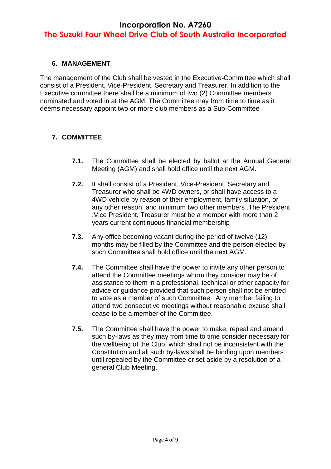# **The Suzuki Four Wheel Drive Club of South Australia Incorporated**

#### **6. MANAGEMENT**

The management of the Club shall be vested in the Executive Committee which shall consist of a President, Vice-President, Secretary and Treasurer. In addition to the Executive committee there shall be a minimum of two (2) Committee members nominated and voted in at the AGM. The Committee may from time to time as it deems necessary appoint two or more club members as a Sub-Committee

#### **7. COMMITTEE**

- **7.1.** The Committee shall be elected by ballot at the Annual General Meeting (AGM) and shall hold office until the next AGM.
- **7.2.** It shall consist of a President, Vice-President, Secretary and Treasurer who shall be 4WD owners, or shall have access to a 4WD vehicle by reason of their employment, family situation, or any other reason, and minimum two other members .The President ,Vice President, Treasurer must be a member with more than 2 years current continuous financial membership
- **7.3.** Any office becoming vacant during the period of twelve (12) months may be filled by the Committee and the person elected by such Committee shall hold office until the next AGM.
- **7.4.** The Committee shall have the power to invite any other person to attend the Committee meetings whom they consider may be of assistance to them in a professional, technical or other capacity for advice or guidance provided that such person shall not be entitled to vote as a member of such Committee. Any member failing to attend two consecutive meetings without reasonable excuse shall cease to be a member of the Committee.
- **7.5.** The Committee shall have the power to make, repeal and amend such by-laws as they may from time to time consider necessary for the wellbeing of the Club, which shall not be inconsistent with the Constitution and all such by-laws shall be binding upon members until repealed by the Committee or set aside by a resolution of a general Club Meeting.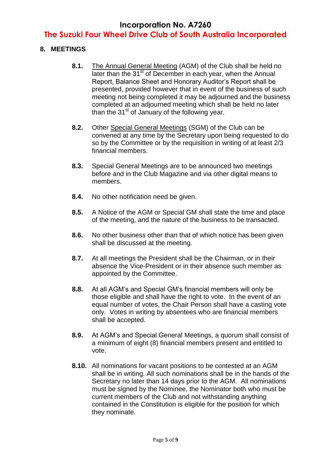## **The Suzuki Four Wheel Drive Club of South Australia Incorporated**

#### **8. MEETINGS**

- **8.1.** The Annual General Meeting (AGM) of the Club shall be held no later than the 31<sup>st</sup> of December in each year, when the Annual Report, Balance Sheet and Honorary Auditor's Report shall be presented, provided however that in event of the business of such meeting not being completed it may be adjourned and the business completed at an adjourned meeting which shall be held no later than the  $31<sup>st</sup>$  of January of the following year.
- **8.2.** Other Special General Meetings (SGM) of the Club can be convened at any time by the Secretary upon being requested to do so by the Committee or by the requisition in writing of at least 2/3 financial members.
- **8.3.** Special General Meetings are to be announced two meetings before and in the Club Magazine and via other digital means to members.
- **8.4.** No other notification need be given.
- **8.5.** A Notice of the AGM or Special GM shall state the time and place of the meeting, and the nature of the business to be transacted.
- **8.6.** No other business other than that of which notice has been given shall be discussed at the meeting.
- **8.7.** At all meetings the President shall be the Chairman, or in their absence the Vice-President or in their absence such member as appointed by the Committee.
- **8.8.** At all AGM's and Special GM's financial members will only be those eligible and shall have the right to vote. In the event of an equal number of votes, the Chair Person shall have a casting vote only. Votes in writing by absentees who are financial members shall be accepted.
- **8.9.** At AGM's and Special General Meetings, a quorum shall consist of a minimum of eight (8) financial members present and entitled to vote.
- **8.10.** All nominations for vacant positions to be contested at an AGM shall be in writing. All such nominations shall be in the hands of the Secretary no later than 14 days prior to the AGM. All nominations must be signed by the Nominee, the Nominator both who must be current members of the Club and not withstanding anything contained in the Constitution is eligible for the position for which they nominate.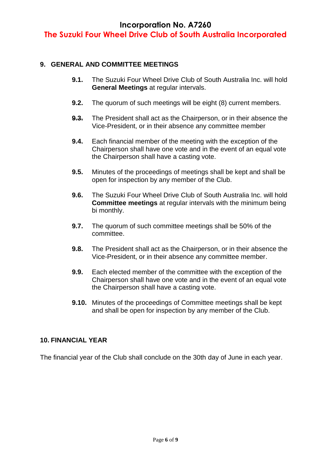**The Suzuki Four Wheel Drive Club of South Australia Incorporated**

#### **9. GENERAL AND COMMITTEE MEETINGS**

- **9.1.** The Suzuki Four Wheel Drive Club of South Australia Inc. will hold **General Meetings** at regular intervals.
- **9.2.** The quorum of such meetings will be eight (8) current members.
- **9.3.** The President shall act as the Chairperson, or in their absence the Vice-President, or in their absence any committee member
- **9.4.** Each financial member of the meeting with the exception of the Chairperson shall have one vote and in the event of an equal vote the Chairperson shall have a casting vote.
- **9.5.** Minutes of the proceedings of meetings shall be kept and shall be open for inspection by any member of the Club.
- **9.6.** The Suzuki Four Wheel Drive Club of South Australia Inc. will hold **Committee meetings** at regular intervals with the minimum being bi monthly.
- **9.7.** The quorum of such committee meetings shall be 50% of the committee.
- **9.8.** The President shall act as the Chairperson, or in their absence the Vice-President, or in their absence any committee member.
- **9.9.** Each elected member of the committee with the exception of the Chairperson shall have one vote and in the event of an equal vote the Chairperson shall have a casting vote.
- **9.10.** Minutes of the proceedings of Committee meetings shall be kept and shall be open for inspection by any member of the Club.

#### **10. FINANCIAL YEAR**

The financial year of the Club shall conclude on the 30th day of June in each year.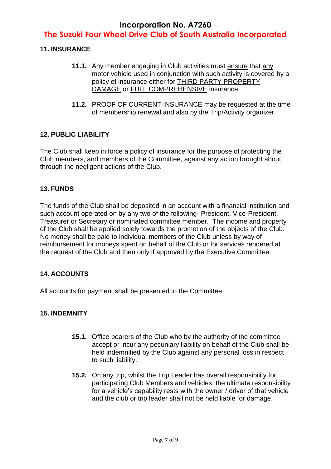# **The Suzuki Four Wheel Drive Club of South Australia Incorporated**

#### **11. INSURANCE**

- **11.1.** Any member engaging in Club activities must ensure that any motor vehicle used in conjunction with such activity is covered by a policy of insurance either for THIRD PARTY PROPERTY DAMAGE or FULL COMPREHENSIVE insurance.
- **11.2.** PROOF OF CURRENT INSURANCE may be requested at the time of membership renewal and also by the Trip/Activity organizer.

#### **12. PUBLIC LIABILITY**

The Club shall keep in force a policy of insurance for the purpose of protecting the Club members, and members of the Committee, against any action brought about through the negligent actions of the Club.

#### **13. FUNDS**

The funds of the Club shall be deposited in an account with a financial institution and such account operated on by any two of the following- President, Vice-President, Treasurer or Secretary or nominated committee member. The income and property of the Club shall be applied solely towards the promotion of the objects of the Club. No money shall be paid to individual members of the Club unless by way of reimbursement for moneys spent on behalf of the Club or for services rendered at the request of the Club and then only if approved by the Executive Committee.

#### **14. ACCOUNTS**

All accounts for payment shall be presented to the Committee

#### **15. INDEMNITY**

- **15.1.** Office bearers of the Club who by the authority of the committee accept or incur any pecuniary liability on behalf of the Club shall be held indemnified by the Club against any personal loss in respect to such liability.
- **15.2.** On any trip, whilst the Trip Leader has overall responsibility for participating Club Members and vehicles, the ultimate responsibility for a vehicle's capability rests with the owner / driver of that vehicle and the club or trip leader shall not be held liable for damage.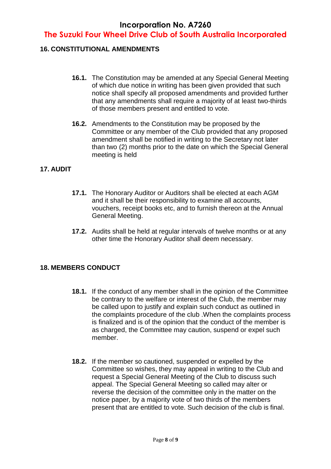## **The Suzuki Four Wheel Drive Club of South Australia Incorporated**

#### **16. CONSTITUTIONAL AMENDMENTS**

- **16.1.** The Constitution may be amended at any Special General Meeting of which due notice in writing has been given provided that such notice shall specify all proposed amendments and provided further that any amendments shall require a majority of at least two-thirds of those members present and entitled to vote.
- **16.2.** Amendments to the Constitution may be proposed by the Committee or any member of the Club provided that any proposed amendment shall be notified in writing to the Secretary not later than two (2) months prior to the date on which the Special General meeting is held

#### **17. AUDIT**

- **17.1.** The Honorary Auditor or Auditors shall be elected at each AGM and it shall be their responsibility to examine all accounts, vouchers, receipt books etc, and to furnish thereon at the Annual General Meeting.
- **17.2.** Audits shall be held at regular intervals of twelve months or at any other time the Honorary Auditor shall deem necessary.

#### **18. MEMBERS CONDUCT**

- **18.1.** If the conduct of any member shall in the opinion of the Committee be contrary to the welfare or interest of the Club, the member may be called upon to justify and explain such conduct as outlined in the complaints procedure of the club .When the complaints process is finalized and is of the opinion that the conduct of the member is as charged, the Committee may caution, suspend or expel such member.
- **18.2.** If the member so cautioned, suspended or expelled by the Committee so wishes, they may appeal in writing to the Club and request a Special General Meeting of the Club to discuss such appeal. The Special General Meeting so called may alter or reverse the decision of the committee only in the matter on the notice paper, by a majority vote of two thirds of the members present that are entitled to vote. Such decision of the club is final.